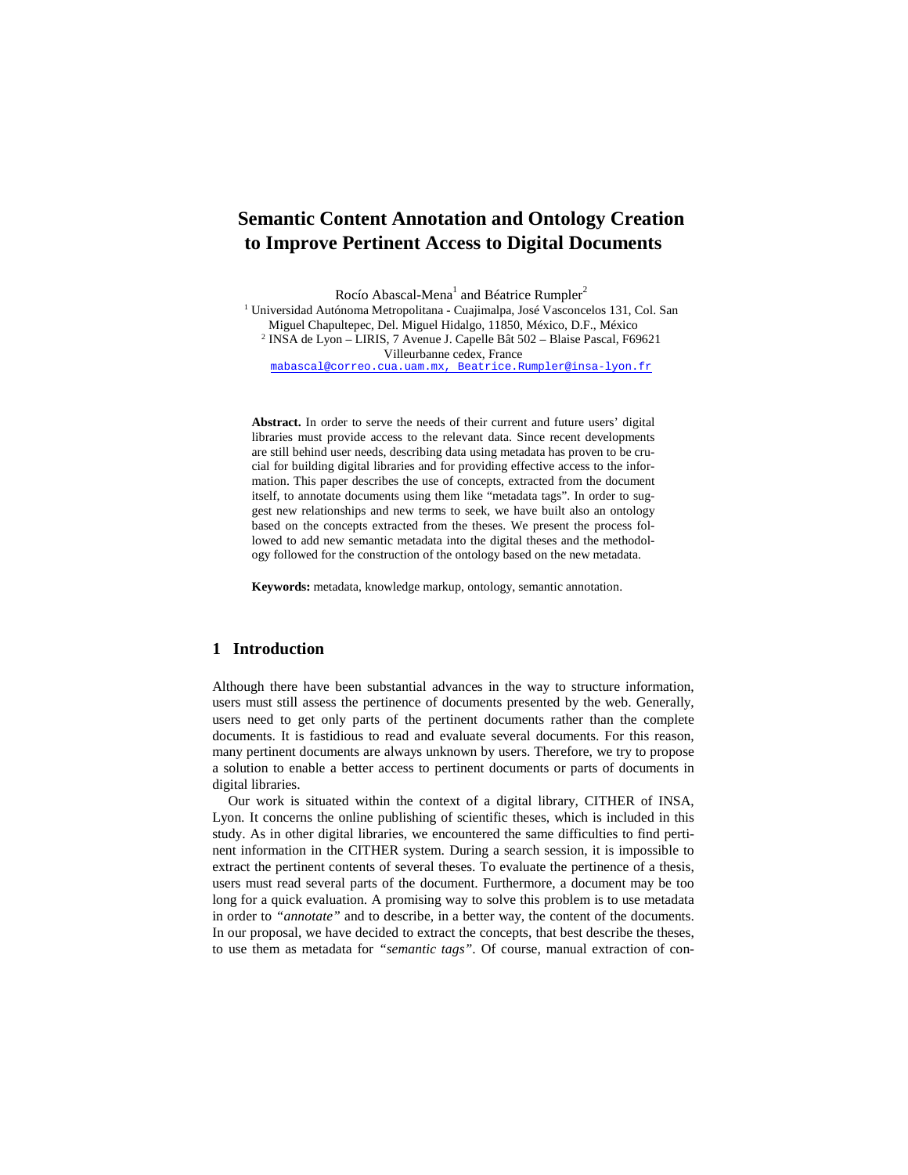# **Semantic Content Annotation and Ontology Creation to Improve Pertinent Access to Digital Documents**

Rocío Abascal-Mena<sup>1</sup> and Béatrice Rumpler<sup>2</sup>

<sup>1</sup> Universidad Autónoma Metropolitana - Cuajimalpa, José Vasconcelos 131, Col. San Miguel Chapultepec, Del. Miguel Hidalgo, 11850, México, D.F., México 2 INSA de Lyon – LIRIS, 7 Avenue J. Capelle Bât 502 – Blaise Pascal, F69621 Villeurbanne cedex, France mabascal@correo.cua.uam.mx, Beatrice.Rumpler@insa-lyon.fr

**Abstract.** In order to serve the needs of their current and future users' digital libraries must provide access to the relevant data. Since recent developments are still behind user needs, describing data using metadata has proven to be crucial for building digital libraries and for providing effective access to the information. This paper describes the use of concepts, extracted from the document itself, to annotate documents using them like "metadata tags". In order to suggest new relationships and new terms to seek, we have built also an ontology based on the concepts extracted from the theses. We present the process followed to add new semantic metadata into the digital theses and the methodology followed for the construction of the ontology based on the new metadata.

**Keywords:** metadata, knowledge markup, ontology, semantic annotation.

### **1 Introduction**

Although there have been substantial advances in the way to structure information, users must still assess the pertinence of documents presented by the web. Generally, users need to get only parts of the pertinent documents rather than the complete documents. It is fastidious to read and evaluate several documents. For this reason, many pertinent documents are always unknown by users. Therefore, we try to propose a solution to enable a better access to pertinent documents or parts of documents in digital libraries.

Our work is situated within the context of a digital library, CITHER of INSA, Lyon. It concerns the online publishing of scientific theses, which is included in this study. As in other digital libraries, we encountered the same difficulties to find pertinent information in the CITHER system. During a search session, it is impossible to extract the pertinent contents of several theses. To evaluate the pertinence of a thesis, users must read several parts of the document. Furthermore, a document may be too long for a quick evaluation. A promising way to solve this problem is to use metadata in order to *"annotate"* and to describe, in a better way, the content of the documents. In our proposal, we have decided to extract the concepts, that best describe the theses, to use them as metadata for *"semantic tags"*. Of course, manual extraction of con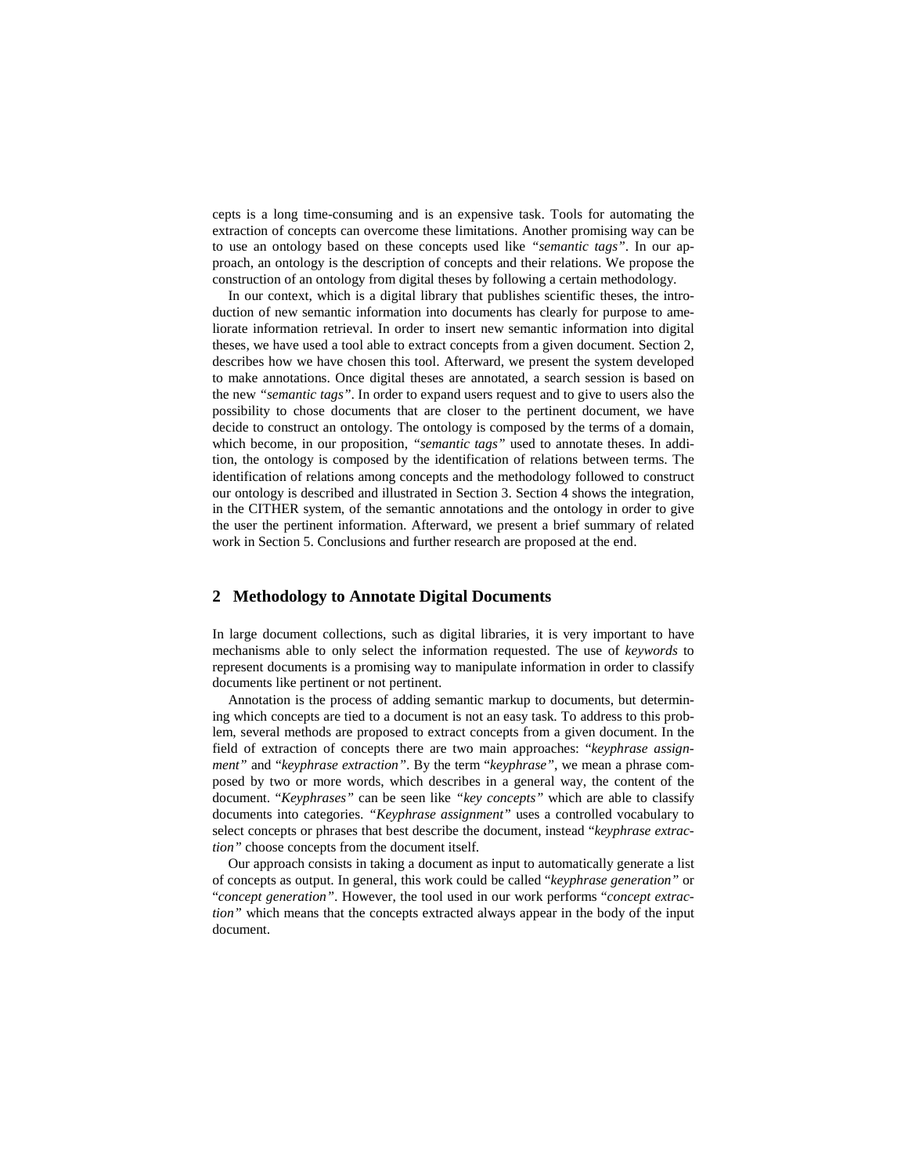cepts is a long time-consuming and is an expensive task. Tools for automating the extraction of concepts can overcome these limitations. Another promising way can be to use an ontology based on these concepts used like *"semantic tags"*. In our approach, an ontology is the description of concepts and their relations. We propose the construction of an ontology from digital theses by following a certain methodology.

In our context, which is a digital library that publishes scientific theses, the introduction of new semantic information into documents has clearly for purpose to ameliorate information retrieval. In order to insert new semantic information into digital theses, we have used a tool able to extract concepts from a given document. Section 2, describes how we have chosen this tool. Afterward, we present the system developed to make annotations. Once digital theses are annotated, a search session is based on the new *"semantic tags"*. In order to expand users request and to give to users also the possibility to chose documents that are closer to the pertinent document, we have decide to construct an ontology. The ontology is composed by the terms of a domain, which become, in our proposition, "*semantic tags*" used to annotate theses. In addition, the ontology is composed by the identification of relations between terms. The identification of relations among concepts and the methodology followed to construct our ontology is described and illustrated in Section 3. Section 4 shows the integration, in the CITHER system, of the semantic annotations and the ontology in order to give the user the pertinent information. Afterward, we present a brief summary of related work in Section 5. Conclusions and further research are proposed at the end.

# **2 Methodology to Annotate Digital Documents**

In large document collections, such as digital libraries, it is very important to have mechanisms able to only select the information requested. The use of *keywords* to represent documents is a promising way to manipulate information in order to classify documents like pertinent or not pertinent.

Annotation is the process of adding semantic markup to documents, but determining which concepts are tied to a document is not an easy task. To address to this problem, several methods are proposed to extract concepts from a given document. In the field of extraction of concepts there are two main approaches: "*keyphrase assignment"* and "*keyphrase extraction"*. By the term "*keyphrase"*, we mean a phrase composed by two or more words, which describes in a general way, the content of the document. "*Keyphrases"* can be seen like *"key concepts"* which are able to classify documents into categories. *"Keyphrase assignment"* uses a controlled vocabulary to select concepts or phrases that best describe the document, instead "*keyphrase extraction"* choose concepts from the document itself.

Our approach consists in taking a document as input to automatically generate a list of concepts as output. In general, this work could be called "*keyphrase generation"* or "*concept generation"*. However, the tool used in our work performs "*concept extraction"* which means that the concepts extracted always appear in the body of the input document.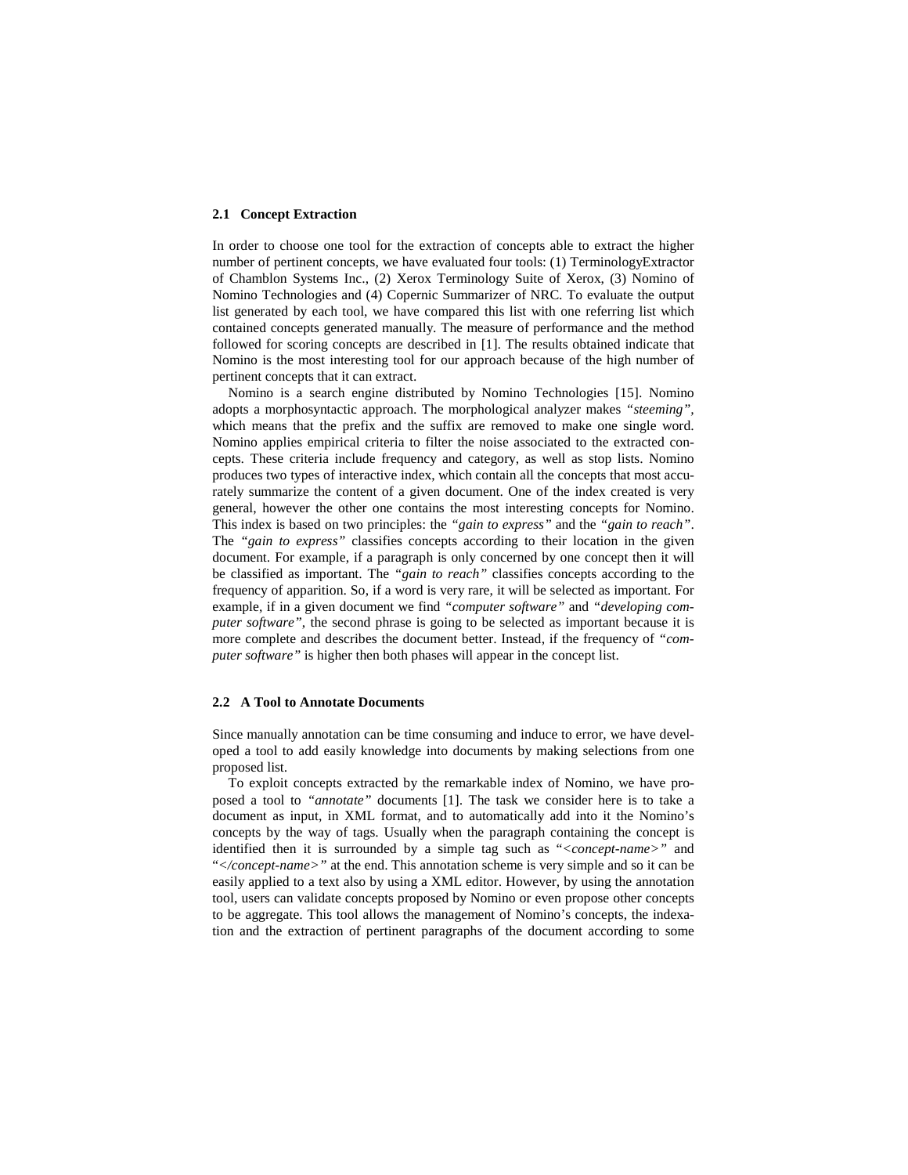#### **2.1 Concept Extraction**

In order to choose one tool for the extraction of concepts able to extract the higher number of pertinent concepts, we have evaluated four tools: (1) TerminologyExtractor of Chamblon Systems Inc., (2) Xerox Terminology Suite of Xerox, (3) Nomino of Nomino Technologies and (4) Copernic Summarizer of NRC. To evaluate the output list generated by each tool, we have compared this list with one referring list which contained concepts generated manually. The measure of performance and the method followed for scoring concepts are described in [1]. The results obtained indicate that Nomino is the most interesting tool for our approach because of the high number of pertinent concepts that it can extract.

Nomino is a search engine distributed by Nomino Technologies [15]. Nomino adopts a morphosyntactic approach. The morphological analyzer makes *"steeming",* which means that the prefix and the suffix are removed to make one single word. Nomino applies empirical criteria to filter the noise associated to the extracted concepts. These criteria include frequency and category, as well as stop lists. Nomino produces two types of interactive index, which contain all the concepts that most accurately summarize the content of a given document. One of the index created is very general, however the other one contains the most interesting concepts for Nomino. This index is based on two principles: the *"gain to express"* and the *"gain to reach"*. The *"gain to express"* classifies concepts according to their location in the given document. For example, if a paragraph is only concerned by one concept then it will be classified as important. The *"gain to reach"* classifies concepts according to the frequency of apparition. So, if a word is very rare, it will be selected as important. For example, if in a given document we find *"computer software"* and *"developing computer software"*, the second phrase is going to be selected as important because it is more complete and describes the document better. Instead, if the frequency of *"computer software"* is higher then both phases will appear in the concept list.

#### **2.2 A Tool to Annotate Documents**

Since manually annotation can be time consuming and induce to error, we have developed a tool to add easily knowledge into documents by making selections from one proposed list.

To exploit concepts extracted by the remarkable index of Nomino, we have proposed a tool to *"annotate"* documents [1]. The task we consider here is to take a document as input, in XML format, and to automatically add into it the Nomino's concepts by the way of tags. Usually when the paragraph containing the concept is identified then it is surrounded by a simple tag such as "*<concept-name>"* and "*</concept-name>"* at the end. This annotation scheme is very simple and so it can be easily applied to a text also by using a XML editor. However, by using the annotation tool, users can validate concepts proposed by Nomino or even propose other concepts to be aggregate. This tool allows the management of Nomino's concepts, the indexation and the extraction of pertinent paragraphs of the document according to some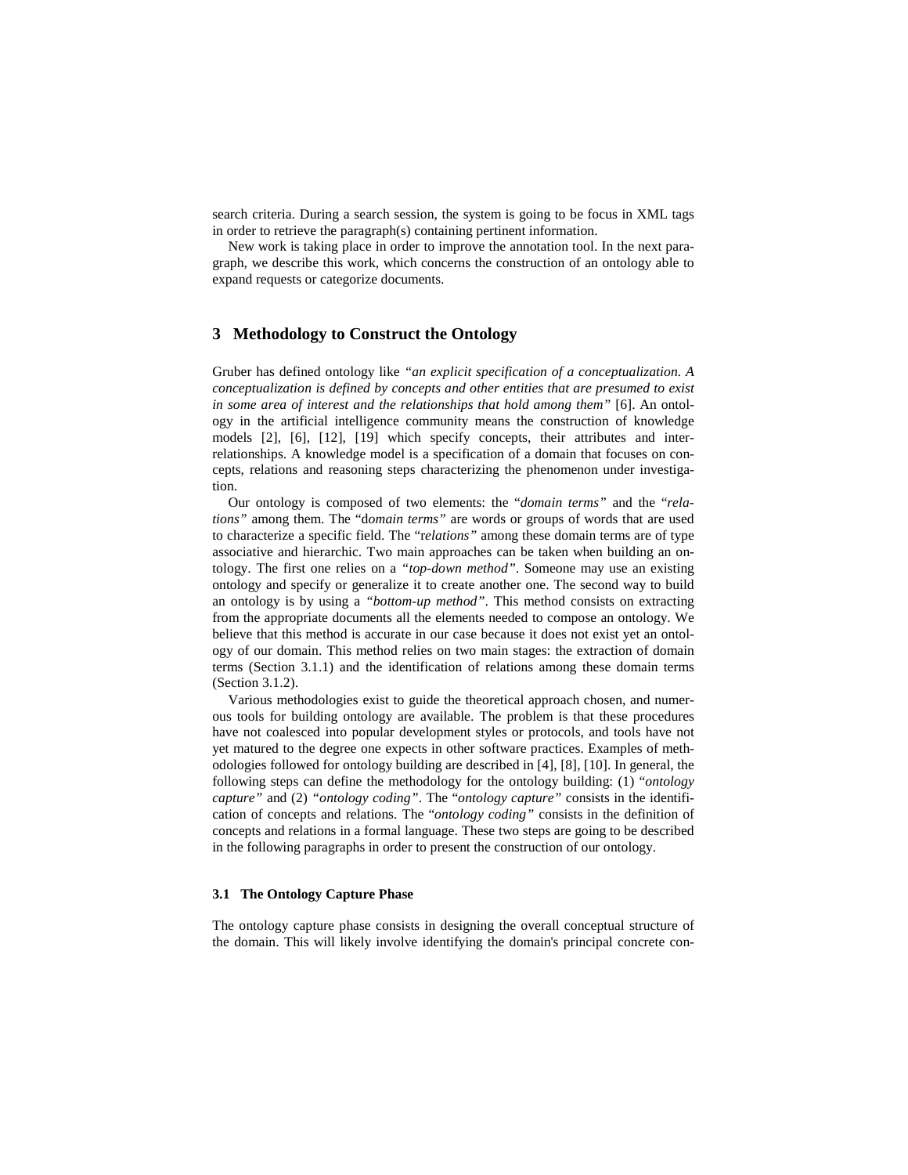search criteria. During a search session, the system is going to be focus in XML tags in order to retrieve the paragraph(s) containing pertinent information.

New work is taking place in order to improve the annotation tool. In the next paragraph, we describe this work, which concerns the construction of an ontology able to expand requests or categorize documents.

# **3 Methodology to Construct the Ontology**

Gruber has defined ontology like *"an explicit specification of a conceptualization. A conceptualization is defined by concepts and other entities that are presumed to exist in some area of interest and the relationships that hold among them"* [6]. An ontology in the artificial intelligence community means the construction of knowledge models [2], [6], [12], [19] which specify concepts, their attributes and interrelationships. A knowledge model is a specification of a domain that focuses on concepts, relations and reasoning steps characterizing the phenomenon under investigation.

Our ontology is composed of two elements: the "*domain terms"* and the "*relations"* among them. The "d*omain terms"* are words or groups of words that are used to characterize a specific field. The "r*elations"* among these domain terms are of type associative and hierarchic. Two main approaches can be taken when building an ontology. The first one relies on a *"top-down method"*. Someone may use an existing ontology and specify or generalize it to create another one. The second way to build an ontology is by using a *"bottom-up method"*. This method consists on extracting from the appropriate documents all the elements needed to compose an ontology. We believe that this method is accurate in our case because it does not exist yet an ontology of our domain. This method relies on two main stages: the extraction of domain terms (Section 3.1.1) and the identification of relations among these domain terms (Section 3.1.2).

Various methodologies exist to guide the theoretical approach chosen, and numerous tools for building ontology are available. The problem is that these procedures have not coalesced into popular development styles or protocols, and tools have not yet matured to the degree one expects in other software practices. Examples of methodologies followed for ontology building are described in [4], [8], [10]. In general, the following steps can define the methodology for the ontology building: (1) "*ontology capture"* and (2) *"ontology coding"*. The "*ontology capture"* consists in the identification of concepts and relations. The "*ontology coding"* consists in the definition of concepts and relations in a formal language. These two steps are going to be described in the following paragraphs in order to present the construction of our ontology.

#### **3.1 The Ontology Capture Phase**

The ontology capture phase consists in designing the overall conceptual structure of the domain. This will likely involve identifying the domain's principal concrete con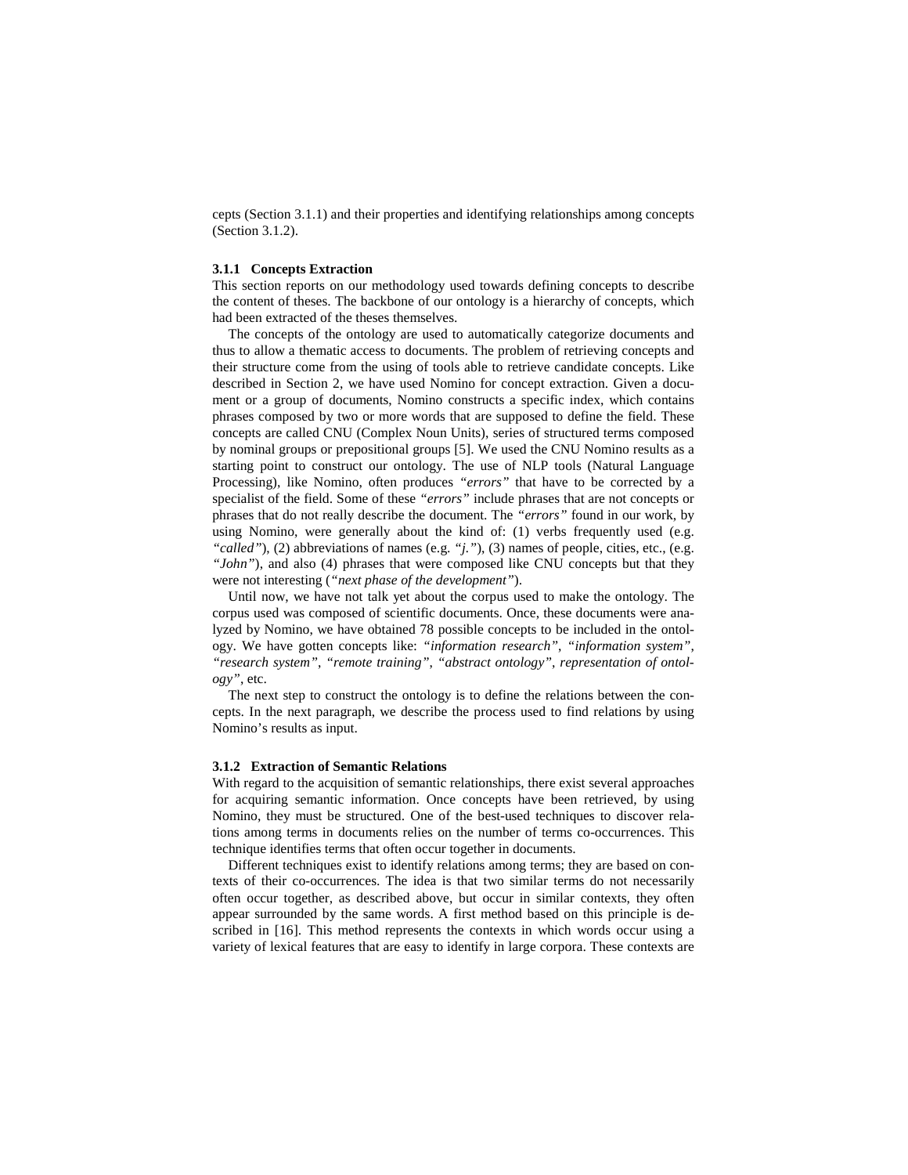cepts (Section 3.1.1) and their properties and identifying relationships among concepts (Section 3.1.2).

#### **3.1.1 Concepts Extraction**

This section reports on our methodology used towards defining concepts to describe the content of theses. The backbone of our ontology is a hierarchy of concepts, which had been extracted of the theses themselves.

The concepts of the ontology are used to automatically categorize documents and thus to allow a thematic access to documents. The problem of retrieving concepts and their structure come from the using of tools able to retrieve candidate concepts. Like described in Section 2, we have used Nomino for concept extraction. Given a document or a group of documents, Nomino constructs a specific index, which contains phrases composed by two or more words that are supposed to define the field. These concepts are called CNU (Complex Noun Units), series of structured terms composed by nominal groups or prepositional groups [5]. We used the CNU Nomino results as a starting point to construct our ontology. The use of NLP tools (Natural Language Processing), like Nomino, often produces *"errors"* that have to be corrected by a specialist of the field. Some of these *"errors"* include phrases that are not concepts or phrases that do not really describe the document. The *"errors"* found in our work, by using Nomino, were generally about the kind of: (1) verbs frequently used (e.g. *"called"*), (2) abbreviations of names (e.g. *"j."*), (3) names of people, cities, etc., (e.g. *"John"*), and also (4) phrases that were composed like CNU concepts but that they were not interesting (*"next phase of the development"*).

Until now, we have not talk yet about the corpus used to make the ontology. The corpus used was composed of scientific documents. Once, these documents were analyzed by Nomino, we have obtained 78 possible concepts to be included in the ontology. We have gotten concepts like: *"information research"*, *"information system"*, *"research system"*, *"remote training"*, *"abstract ontology"*, *representation of ontology"*, etc.

The next step to construct the ontology is to define the relations between the concepts. In the next paragraph, we describe the process used to find relations by using Nomino's results as input.

#### **3.1.2 Extraction of Semantic Relations**

With regard to the acquisition of semantic relationships, there exist several approaches for acquiring semantic information. Once concepts have been retrieved, by using Nomino, they must be structured. One of the best-used techniques to discover relations among terms in documents relies on the number of terms co-occurrences. This technique identifies terms that often occur together in documents.

Different techniques exist to identify relations among terms; they are based on contexts of their co-occurrences. The idea is that two similar terms do not necessarily often occur together, as described above, but occur in similar contexts, they often appear surrounded by the same words. A first method based on this principle is described in [16]. This method represents the contexts in which words occur using a variety of lexical features that are easy to identify in large corpora. These contexts are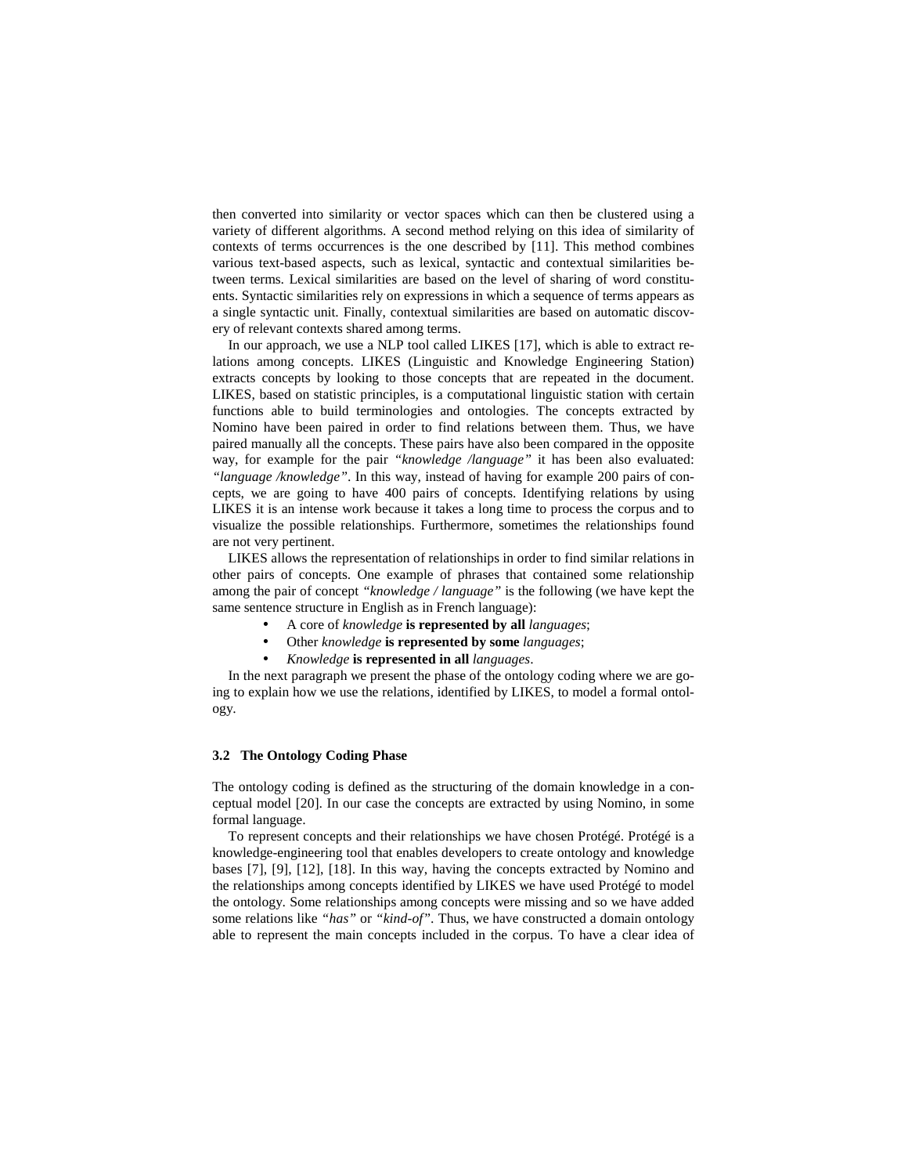then converted into similarity or vector spaces which can then be clustered using a variety of different algorithms. A second method relying on this idea of similarity of contexts of terms occurrences is the one described by [11]. This method combines various text-based aspects, such as lexical, syntactic and contextual similarities between terms. Lexical similarities are based on the level of sharing of word constituents. Syntactic similarities rely on expressions in which a sequence of terms appears as a single syntactic unit. Finally, contextual similarities are based on automatic discovery of relevant contexts shared among terms.

In our approach, we use a NLP tool called LIKES [17], which is able to extract relations among concepts. LIKES (Linguistic and Knowledge Engineering Station) extracts concepts by looking to those concepts that are repeated in the document. LIKES, based on statistic principles, is a computational linguistic station with certain functions able to build terminologies and ontologies. The concepts extracted by Nomino have been paired in order to find relations between them. Thus, we have paired manually all the concepts. These pairs have also been compared in the opposite way, for example for the pair *"knowledge /language"* it has been also evaluated: *"language /knowledge"*. In this way, instead of having for example 200 pairs of concepts, we are going to have 400 pairs of concepts. Identifying relations by using LIKES it is an intense work because it takes a long time to process the corpus and to visualize the possible relationships. Furthermore, sometimes the relationships found are not very pertinent.

LIKES allows the representation of relationships in order to find similar relations in other pairs of concepts. One example of phrases that contained some relationship among the pair of concept *"knowledge / language"* is the following (we have kept the same sentence structure in English as in French language):

- A core of *knowledge* **is represented by all** *languages*;
- Other *knowledge* **is represented by some** *languages*;
- *Knowledge* **is represented in all** *languages*.

In the next paragraph we present the phase of the ontology coding where we are going to explain how we use the relations, identified by LIKES, to model a formal ontology.

#### **3.2 The Ontology Coding Phase**

The ontology coding is defined as the structuring of the domain knowledge in a conceptual model [20]. In our case the concepts are extracted by using Nomino, in some formal language.

To represent concepts and their relationships we have chosen Protégé. Protégé is a knowledge-engineering tool that enables developers to create ontology and knowledge bases [7], [9], [12], [18]. In this way, having the concepts extracted by Nomino and the relationships among concepts identified by LIKES we have used Protégé to model the ontology. Some relationships among concepts were missing and so we have added some relations like *"has"* or *"kind-of"*. Thus, we have constructed a domain ontology able to represent the main concepts included in the corpus. To have a clear idea of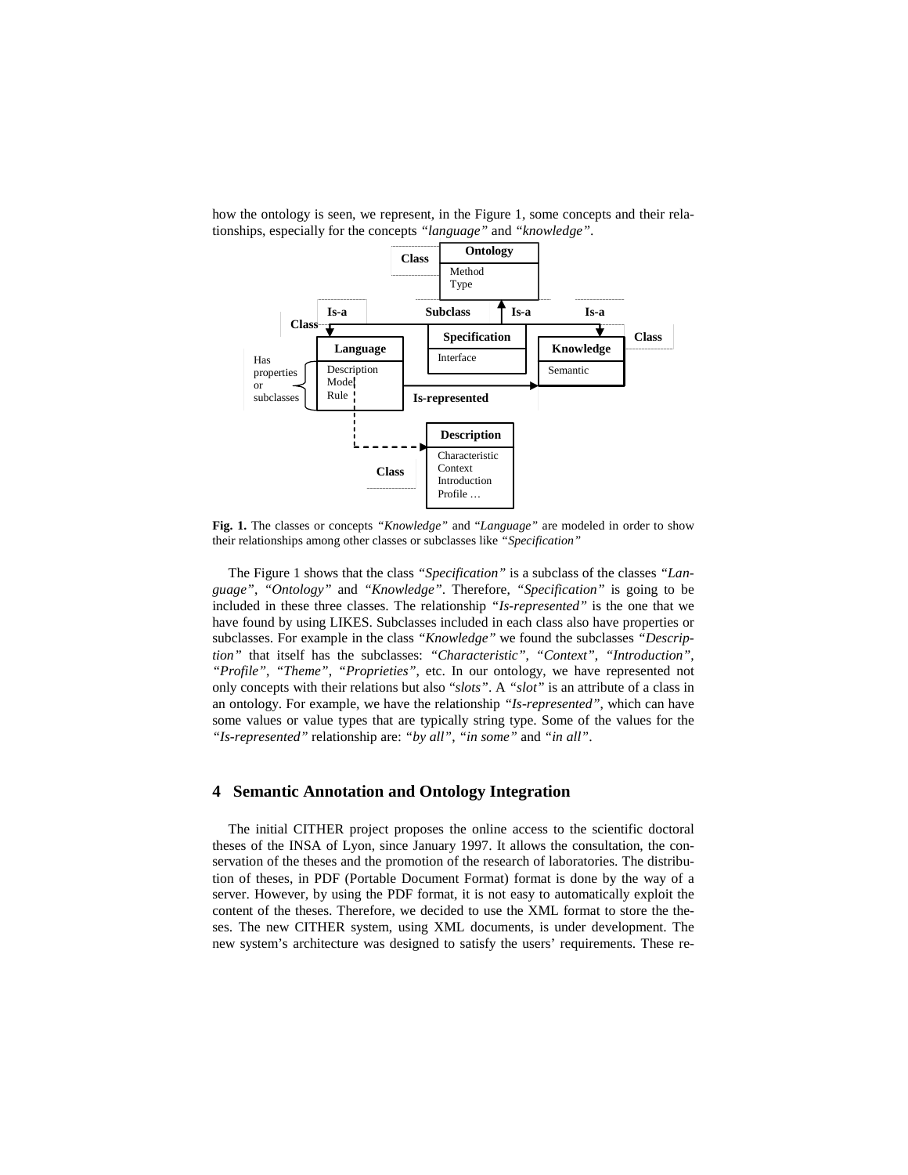

how the ontology is seen, we represent, in the Figure 1, some concepts and their relationships, especially for the concepts *"language"* and *"knowledge"*.

**Fig. 1.** The classes or concepts *"Knowledge"* and "*Language"* are modeled in order to show their relationships among other classes or subclasses like *"Specification"* 

The Figure 1 shows that the class *"Specification"* is a subclass of the classes *"Language"*, *"Ontology"* and *"Knowledge"*. Therefore, *"Specification"* is going to be included in these three classes. The relationship *"Is-represented"* is the one that we have found by using LIKES. Subclasses included in each class also have properties or subclasses. For example in the class *"Knowledge"* we found the subclasses *"Description"* that itself has the subclasses: *"Characteristic"*, *"Context"*, *"Introduction"*, *"Profile"*, *"Theme"*, *"Proprieties"*, etc. In our ontology, we have represented not only concepts with their relations but also "*slots"*. A *"slot"* is an attribute of a class in an ontology. For example, we have the relationship *"Is-represented"*, which can have some values or value types that are typically string type. Some of the values for the *"Is-represented"* relationship are: *"by all"*, *"in some"* and *"in all"*.

## **4 Semantic Annotation and Ontology Integration**

The initial CITHER project proposes the online access to the scientific doctoral theses of the INSA of Lyon, since January 1997. It allows the consultation, the conservation of the theses and the promotion of the research of laboratories. The distribution of theses, in PDF (Portable Document Format) format is done by the way of a server. However, by using the PDF format, it is not easy to automatically exploit the content of the theses. Therefore, we decided to use the XML format to store the theses. The new CITHER system, using XML documents, is under development. The new system's architecture was designed to satisfy the users' requirements. These re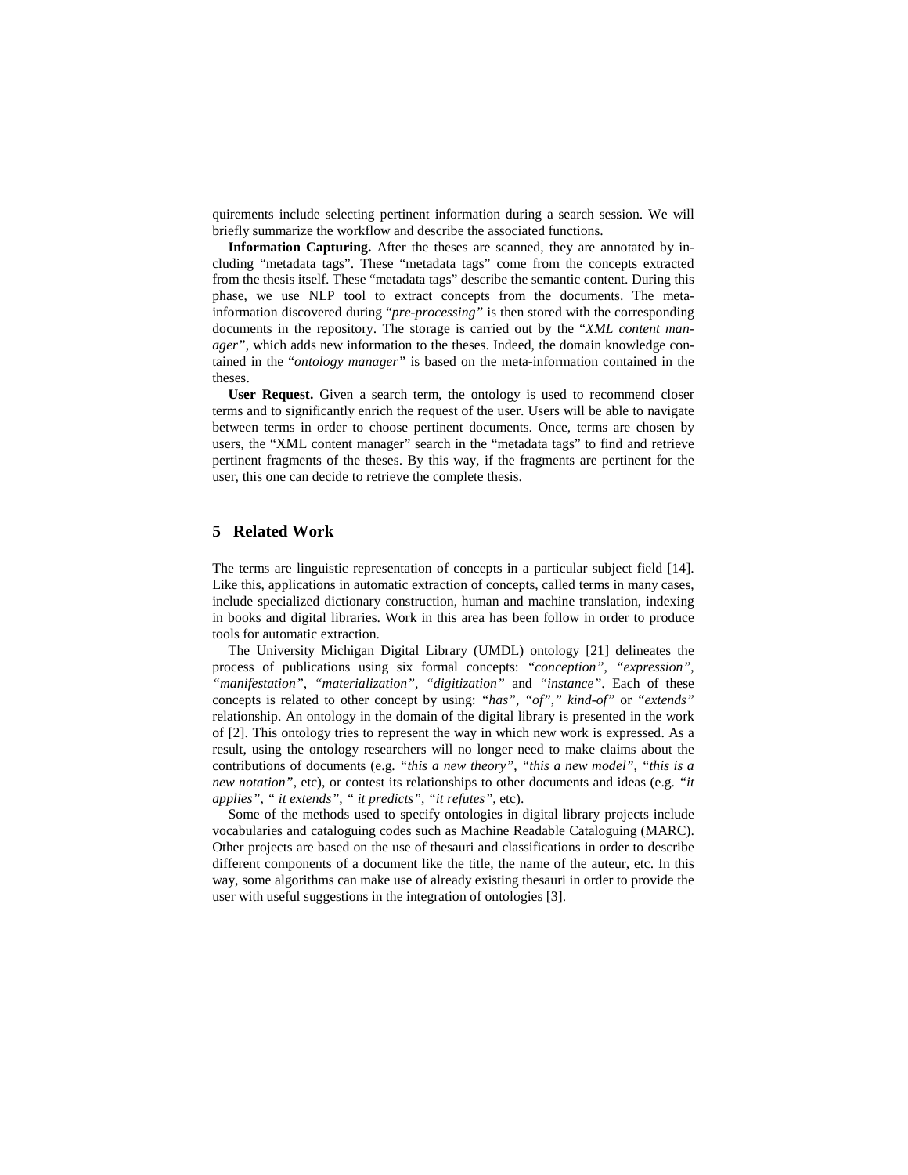quirements include selecting pertinent information during a search session. We will briefly summarize the workflow and describe the associated functions.

**Information Capturing.** After the theses are scanned, they are annotated by including "metadata tags". These "metadata tags" come from the concepts extracted from the thesis itself. These "metadata tags" describe the semantic content. During this phase, we use NLP tool to extract concepts from the documents. The metainformation discovered during "*pre-processing"* is then stored with the corresponding documents in the repository. The storage is carried out by the "*XML content manager"*, which adds new information to the theses. Indeed, the domain knowledge contained in the "*ontology manager"* is based on the meta-information contained in the theses.

**User Request.** Given a search term, the ontology is used to recommend closer terms and to significantly enrich the request of the user. Users will be able to navigate between terms in order to choose pertinent documents. Once, terms are chosen by users, the "XML content manager" search in the "metadata tags" to find and retrieve pertinent fragments of the theses. By this way, if the fragments are pertinent for the user, this one can decide to retrieve the complete thesis.

### **5 Related Work**

The terms are linguistic representation of concepts in a particular subject field [14]. Like this, applications in automatic extraction of concepts, called terms in many cases, include specialized dictionary construction, human and machine translation, indexing in books and digital libraries. Work in this area has been follow in order to produce tools for automatic extraction.

The University Michigan Digital Library (UMDL) ontology [21] delineates the process of publications using six formal concepts: *"conception"*, *"expression"*, *"manifestation"*, *"materialization"*, *"digitization"* and *"instance"*. Each of these concepts is related to other concept by using: *"has"*, *"of"*,*" kind-of"* or *"extends"* relationship. An ontology in the domain of the digital library is presented in the work of [2]. This ontology tries to represent the way in which new work is expressed. As a result, using the ontology researchers will no longer need to make claims about the contributions of documents (e.g. *"this a new theory"*, *"this a new model"*, *"this is a new notation"*, etc), or contest its relationships to other documents and ideas (e.g. *"it applies"*, *" it extends"*, *" it predicts"*, *"it refutes"*, etc).

Some of the methods used to specify ontologies in digital library projects include vocabularies and cataloguing codes such as Machine Readable Cataloguing (MARC). Other projects are based on the use of thesauri and classifications in order to describe different components of a document like the title, the name of the auteur, etc. In this way, some algorithms can make use of already existing thesauri in order to provide the user with useful suggestions in the integration of ontologies [3].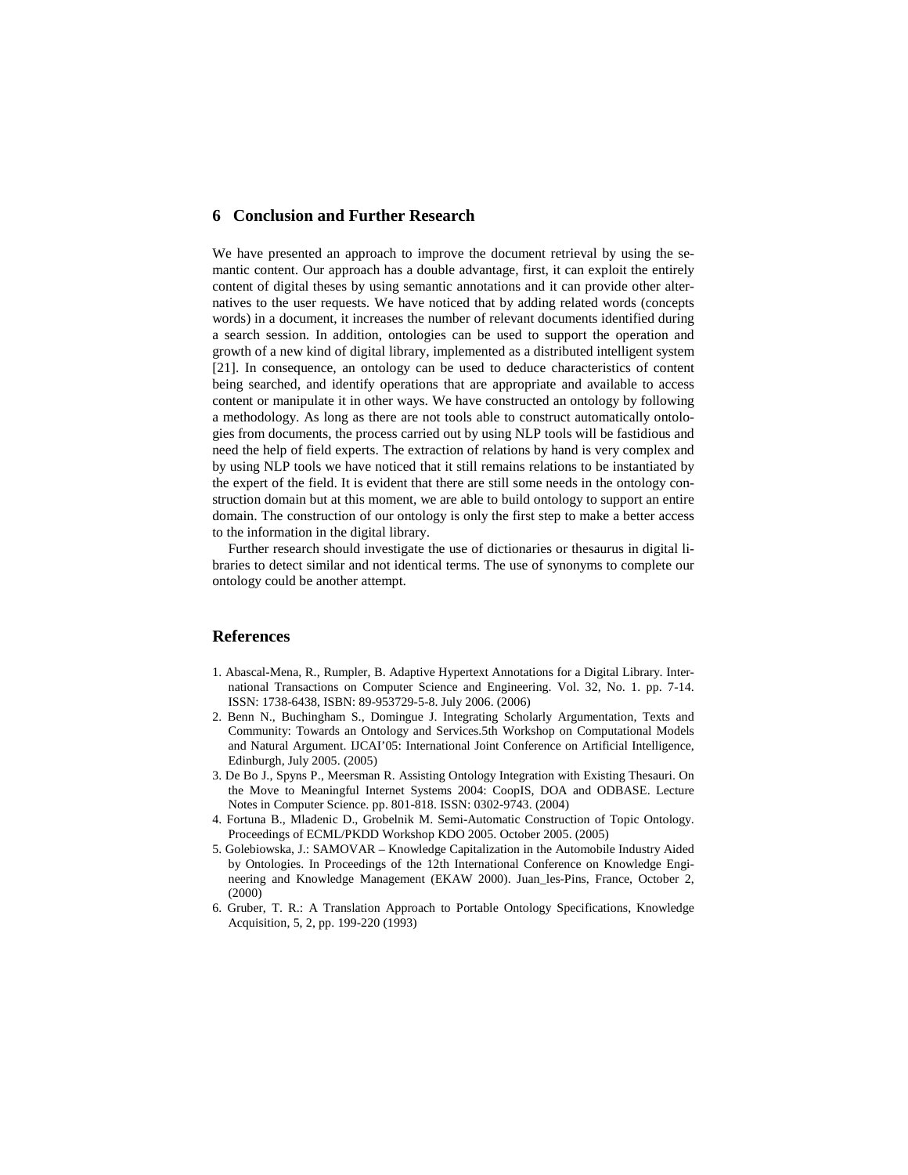# **6 Conclusion and Further Research**

We have presented an approach to improve the document retrieval by using the semantic content. Our approach has a double advantage, first, it can exploit the entirely content of digital theses by using semantic annotations and it can provide other alternatives to the user requests. We have noticed that by adding related words (concepts words) in a document, it increases the number of relevant documents identified during a search session. In addition, ontologies can be used to support the operation and growth of a new kind of digital library, implemented as a distributed intelligent system [21]. In consequence, an ontology can be used to deduce characteristics of content being searched, and identify operations that are appropriate and available to access content or manipulate it in other ways. We have constructed an ontology by following a methodology. As long as there are not tools able to construct automatically ontologies from documents, the process carried out by using NLP tools will be fastidious and need the help of field experts. The extraction of relations by hand is very complex and by using NLP tools we have noticed that it still remains relations to be instantiated by the expert of the field. It is evident that there are still some needs in the ontology construction domain but at this moment, we are able to build ontology to support an entire domain. The construction of our ontology is only the first step to make a better access to the information in the digital library.

Further research should investigate the use of dictionaries or thesaurus in digital libraries to detect similar and not identical terms. The use of synonyms to complete our ontology could be another attempt.

### **References**

- 1. Abascal-Mena, R., Rumpler, B. Adaptive Hypertext Annotations for a Digital Library. International Transactions on Computer Science and Engineering. Vol. 32, No. 1. pp. 7-14. ISSN: 1738-6438, ISBN: 89-953729-5-8. July 2006. (2006)
- 2. Benn N., Buchingham S., Domingue J. Integrating Scholarly Argumentation, Texts and Community: Towards an Ontology and Services.5th Workshop on Computational Models and Natural Argument. IJCAI'05: International Joint Conference on Artificial Intelligence, Edinburgh, July 2005. (2005)
- 3. De Bo J., Spyns P., Meersman R. Assisting Ontology Integration with Existing Thesauri. On the Move to Meaningful Internet Systems 2004: CoopIS, DOA and ODBASE. Lecture Notes in Computer Science. pp. 801-818. ISSN: 0302-9743. (2004)
- 4. Fortuna B., Mladenic D., Grobelnik M. Semi-Automatic Construction of Topic Ontology. Proceedings of ECML/PKDD Workshop KDO 2005. October 2005. (2005)
- 5. Golebiowska, J.: SAMOVAR Knowledge Capitalization in the Automobile Industry Aided by Ontologies. In Proceedings of the 12th International Conference on Knowledge Engineering and Knowledge Management (EKAW 2000). Juan\_les-Pins, France, October 2, (2000)
- 6. Gruber, T. R.: A Translation Approach to Portable Ontology Specifications, Knowledge Acquisition, 5, 2, pp. 199-220 (1993)